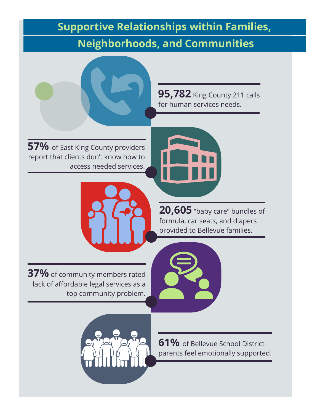## **Supportive Relationships within Families, Neighborhoods, and Communities**



**57%** of East King County providers report that clients don't know how to access needed services.



**95,782** King County 211 calls for human services needs.



**20,605** "baby care" bundles of formula, car seats, and diapers provided to Bellevue families.

**37%** of community members rated lack of affordable legal services as a top community problem.



**61%** of Bellevue School District parents feel emotionally supported.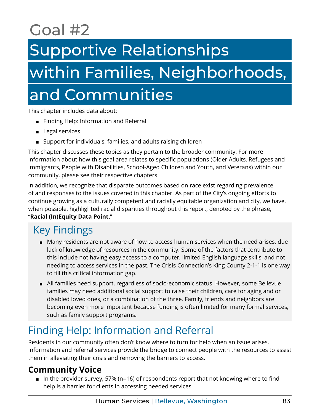# Goal #2

## Supportive Relationships

# within Families, Neighborhoods, and Communities

This chapter includes data about:

- Finding Help: Information and Referral
- Legal services
- Support for individuals, families, and adults raising children

This chapter discusses these topics as they pertain to the broader community. For more information about how this goal area relates to specific populations (Older Adults, Refugees and Immigrants, People with Disabilities, School-Aged Children and Youth, and Veterans) within our community, please see their respective chapters.

In addition, we recognize that disparate outcomes based on race exist regarding prevalence of and responses to the issues covered in this chapter. As part of the City's ongoing efforts to continue growing as a culturally competent and racially equitable organization and city, we have, when possible, highlighted racial disparities throughout this report, denoted by the phrase, "**Racial (In)Equity Data Point.**"

## Key Findings

- Many residents are not aware of how to access human services when the need arises, due lack of knowledge of resources in the community. Some of the factors that contribute to this include not having easy access to a computer, limited English language skills, and not needing to access services in the past. The Crisis Connection's King County 2-1-1 is one way to fill this critical information gap.
- All families need support, regardless of socio-economic status. However, some Bellevue families may need additional social support to raise their children, care for aging and or disabled loved ones, or a combination of the three. Family, friends and neighbors are becoming even more important because funding is often limited for many formal services, such as family support programs.

## Finding Help: Information and Referral

Residents in our community often don't know where to turn for help when an issue arises. Information and referral services provide the bridge to connect people with the resources to assist them in alleviating their crisis and removing the barriers to access.

### **Community Voice**

■ In the provider survey, 57% (n=16) of respondents report that not knowing where to find help is a barrier for clients in accessing needed services.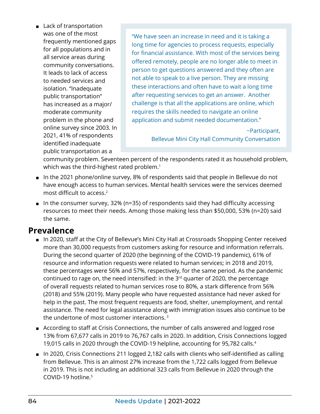<span id="page-2-0"></span>■ Lack of transportation was one of the most frequently mentioned gaps for all populations and in all service areas during community conversations. It leads to lack of access to needed services and isolation. "Inadequate public transportation" has increased as a major/ moderate community problem in the phone and online survey since 2003. In 2021, 41% of respondents identified inadequate public transportation as a

"We have seen an increase in need and it is taking a long time for agencies to process requests, especially for financial assistance. With most of the services being offered remotely, people are no longer able to meet in person to get questions answered and they often are not able to speak to a live person. They are missing these interactions and often have to wait a long time after requesting services to get an answer. Another challenge is that all the applications are online, which requires the skills needed to navigate an online application and submit needed documentation."

> ~Participant, Bellevue Mini City Hall Community Conversation

community problem. Seventeen percent of the respondents rated it as household problem, which was the third-highest rated problem.<sup>1</sup>

- In the 2021 phone/online survey, 8% of respondents said that people in Bellevue do not have enough access to human services. Mental health services were the services deemed most difficult to access.[2](#page-7-0)
- In the consumer survey, 32% (n=35) of respondents said they had difficulty accessing resources to meet their needs. Among those making less than \$50,000, 53% (n=20) said the same.

#### **Prevalence**

- In 2020, staff at the City of Bellevue's Mini City Hall at Crossroads Shopping Center received more than 30,000 requests from customers asking for resource and information referrals. During the second quarter of 2020 (the beginning of the COVID-19 pandemic), 61% of resource and information requests were related to human services; in 2018 and 2019, these percentages were 56% and 57%, respectively, for the same period. As the pandemic continued to rage on, the need intensified: in the  $3<sup>rd</sup>$  quarter of 2020, the percentage of overall requests related to human services rose to 80%, a stark difference from 56% (2018) and 55% (2019). Many people who have requested assistance had never asked for help in the past. The most frequent requests are food, shelter, unemployment, and rental assistance. The need for legal assistance along with immigration issues also continue to be the undertone of most customer interactions. [3](#page-7-0)
- According to staff at Crisis Connections, the number of calls answered and logged rose 13% from 67,677 calls in 2019 to 76,767 calls in 2020. In addition, Crisis Connections logged 19,015 calls in 2020 through the COVID-19 helpline, accounting for 95,782 calls.[4](#page-7-0)
- In 2020, Crisis Connections 211 logged 2,182 calls with clients who self-identified as calling from Bellevue. This is an almost 27% increase from the 1,722 calls logged from Bellevue in 2019. This is not including an additional 323 calls from Bellevue in 2020 through the COVID-19 hotline.[5](#page-7-0)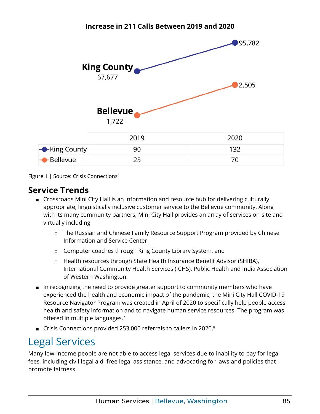<span id="page-3-0"></span>

**Increase in 211 Calls Between 2019 and 2020**

Figure 1 | Source: Crisis Connections<sup>6</sup>

#### **Service Trends**

- Crossroads Mini City Hall is an information and resource hub for delivering culturally appropriate, linguistically inclusive customer service to the Bellevue community. Along with its many community partners, Mini City Hall provides an array of services on-site and virtually including
	- ◻ The Russian and Chinese Family Resource Support Program provided by Chinese Information and Service Center
	- ◻ Computer coaches through King County Library System, and
	- ◻ Health resources through State Health Insurance Benefit Advisor (SHIBA), International Community Health Services (ICHS), Public Health and India Association of Western Washington.
- In recognizing the need to provide greater support to community members who have experienced the health and economic impact of the pandemic, the Mini City Hall COVID-19 Resource Navigator Program was created in April of 2020 to specifically help people access health and safety information and to navigate human service resources. The program was offered in multiple languages.<sup>[7](#page-7-0)</sup>
- Crisis Connections provided 253,000 referrals to callers in 2020.<sup>8</sup>

## Legal Services

Many low-income people are not able to access legal services due to inability to pay for legal fees, including civil legal aid, free legal assistance, and advocating for laws and policies that promote fairness.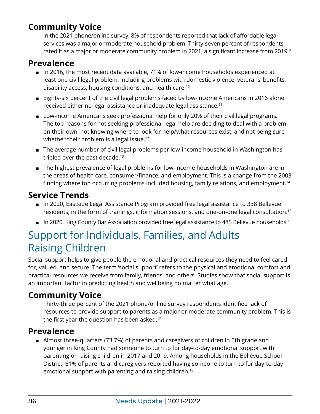## <span id="page-4-0"></span>**Community Voice**

In the 2021 phone/online survey, 8% of respondents reported that lack of affordable legal services was a major or moderate household problem. Thirty-seven percent of respondents rated it as a major or moderate community problem in 2021, a significant increase from 201[9](#page-7-0).<sup>9</sup>

## **Prevalence**

- In 2016, the most recent data available, 71% of low-income households experienced at least one civil legal problem, including problems with domestic violence, veterans' benefits, disability access, housing conditions, and health care.[10](#page-7-0)
- Eighty-six percent of the civil legal problems faced by low-income Americans in 2016 alone received either no legal assistance or inadequate legal assistance.<sup>11</sup>
- Low-income Americans seek professional help for only 20% of their civil legal programs. The top reasons for not seeking professional legal help are deciding to deal with a problem on their own, not knowing where to look for help/what resources exist, and not being sure whether their problem is a legal issue.<sup>[12](#page-7-0)</sup>
- The average number of civil legal problems per low-income household in Washington has tripled over the past decade.<sup>[13](#page-7-0)</sup>
- The highest prevalence of legal problems for low-income households in Washington are in the areas of health care, consumer/finance, and employment. This is a change from the 2003 finding where top occurring problems included housing, family relations, and employment.[14](#page-7-0)

## **Service Trends**

- In 2020, Eastside Legal Assistance Program provided free legal assistance to 338 Bellevue residents, in the form of trainings, information sessions, and one-on-one legal consultation[.15](#page-7-0)
- In 2020, King County Bar Association provided free legal assistance to 485 Bellevue households.<sup>[16](#page-7-0)</sup>

## Support for Individuals, Families, and Adults Raising Children

Social support helps to give people the emotional and practical resources they need to feel cared for, valued, and secure. The term 'social support' refers to the physical and emotional comfort and practical resources we receive from family, friends, and others. Studies show that social support is an important factor in predicting health and wellbeing no matter what age.

## **Community Voice**

Thirty-three percent of the 2021 phone/online survey respondents identified lack of resources to provide support to parents as a major or moderate community problem. This is the first year the question has been asked.<sup>[17](#page-7-0)</sup>

### **Prevalence**

■ Almost three-quarters (73.7%) of parents and caregivers of children in 5th grade and younger in King County had someone to turn to for day-to-day emotional support with parenting or raising children in 2017 and 2019. Among households in the Bellevue School District, 61% of parents and caregivers reported having someone to turn to for day-to-day emotional support with parenting and raising children.<sup>[18](#page-7-0)</sup>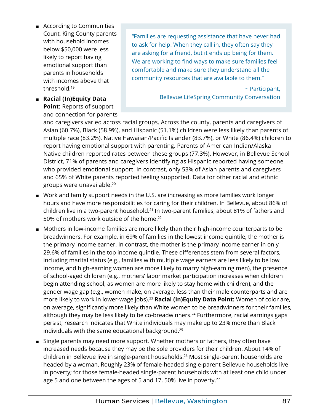- <span id="page-5-0"></span>■ According to Communities Count, King County parents with household incomes below \$50,000 were less likely to report having emotional support than parents in households with incomes above that threshold[.19](#page-7-0)
- ◼ **Racial (In)Equity Data Point:** Reports of support and connection for parents

"Families are requesting assistance that have never had to ask for help. When they call in, they often say they are asking for a friend, but it ends up being for them. We are working to find ways to make sure families feel comfortable and make sure they understand all the community resources that are available to them."

> ~ Participant, Bellevue LifeSpring Community Conversation

and caregivers varied across racial groups. Across the county, parents and caregivers of Asian (60.7%), Black (58.9%), and Hispanic (51.1%) children were less likely than parents of multiple race (83.2%), Native Hawaiian/Pacific Islander (83.7%), or White (86.4%) children to report having emotional support with parenting. Parents of American Indian/Alaska Native children reported rates between these groups (77.3%). However, in Bellevue School District, 71% of parents and caregivers identifying as Hispanic reported having someone who provided emotional support. In contrast, only 53% of Asian parents and caregivers and 65% of White parents reported feeling supported. Data for other racial and ethnic groups were unavailable[.20](#page-7-0)

- Work and family support needs in the U.S. are increasing as more families work longer hours and have more responsibilities for caring for their children. In Bellevue, about 86% of children live in a two-parent household.<sup>21</sup> In two-parent families, about 81% of fathers and 50% of mothers work outside of the home.<sup>22</sup>
- Mothers in low-income families are more likely than their high-income counterparts to be breadwinners. For example, in 69% of families in the lowest income quintile, the mother is the primary income earner. In contrast, the mother is the primary income earner in only 29.6% of families in the top income quintile. These differences stem from several factors, including marital status (e.g., families with multiple wage earners are less likely to be low income, and high-earning women are more likely to marry high-earning men), the presence of school-aged children (e.g., mothers' labor market participation increases when children begin attending school, as women are more likely to stay home with children), and the gender wage gap (e.g., women make, on average, less than their male counterparts and are more likely to work in lower-wage jobs).[23](#page-7-0) **Racial (In)Equity Data Point:** Women of color are, on average, significantly more likely than White women to be breadwinners for their families, although they may be less likely to be co-breadwinners.<sup>[24](#page-7-0)</sup> Furthermore, racial earnings gaps persist; research indicates that White individuals may make up to 23% more than Black individuals with the same educational background[.25](#page-7-0)
- Single parents may need more support. Whether mothers or fathers, they often have increased needs because they may be the sole providers for their children. About 14% of children in Bellevue live in single-parent households.[26](#page-8-0) Most single-parent households are headed by a woman. Roughly 23% of female-headed single-parent Bellevue households live in poverty; for those female-headed single-parent households with at least one child under age 5 and one between the ages of 5 and 17, 50% live in poverty.<sup>27</sup>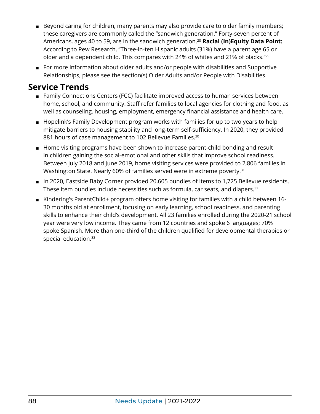- <span id="page-6-0"></span>■ Beyond caring for children, many parents may also provide care to older family members; these caregivers are commonly called the "sandwich generation." Forty-seven percent of Americans, ages 40 to 59, are in the sandwich generation[.28](#page-8-0) **Racial (In)Equity Data Point:** According to Pew Research, "Three-in-ten Hispanic adults (31%) have a parent age 65 or older and a dependent child. This compares with 24% of whites and 21% of blacks.["29](#page-8-0)
- For more information about older adults and/or people with disabilities and Supportive Relationships, please see the section(s) Older Adults and/or People with Disabilities.

#### **Service Trends**

- Family Connections Centers (FCC) facilitate improved access to human services between home, school, and community. Staff refer families to local agencies for clothing and food, as well as counseling, housing, employment, emergency financial assistance and health care.
- Hopelink's Family Development program works with families for up to two years to help mitigate barriers to housing stability and long-term self-sufficiency. In 2020, they provided 881 hours of case management to 102 Bellevue Families.<sup>[30](#page-8-0)</sup>
- Home visiting programs have been shown to increase parent-child bonding and result in children gaining the social-emotional and other skills that improve school readiness. Between July 2018 and June 2019, home visiting services were provided to 2,806 families in Washington State. Nearly 60% of families served were in extreme poverty.<sup>31</sup>
- In 2020, Eastside Baby Corner provided 20,605 bundles of items to 1,725 Bellevue residents. These item bundles include necessities such as formula, car seats, and diapers.<sup>[32](#page-8-0)</sup>
- Kindering's ParentChild+ program offers home visiting for families with a child between 16-30 months old at enrollment, focusing on early learning, school readiness, and parenting skills to enhance their child's development. All 23 families enrolled during the 2020-21 school year were very low income. They came from 12 countries and spoke 6 languages; 70% spoke Spanish. More than one-third of the children qualified for developmental therapies or special education.<sup>[33](#page-8-0)</sup>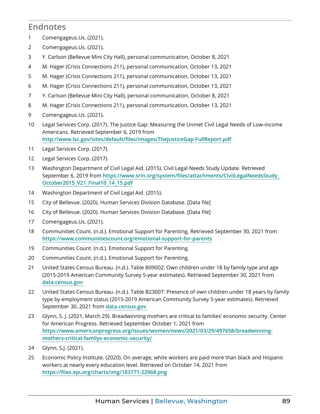### <span id="page-7-0"></span>**Endnotes**

- Comengageus.Us. (2021).
- Comengageus.Us. (2021).
- Y. Carlson (Bellevue Mini City Hall), personal communication, October 8, 2021
- M. Hager (Crisis Connections 211), personal communication, October 13, 2021
- M. Hager (Crisis Connections 211), personal communication, October 13, 2021
- M. Hager (Crisis Connections 211), personal communication, October 13, 2021
- Y. Carlson (Bellevue Mini City Hall), personal communication, October 8, 2021
- M. Hager (Crisis Connections 211), personal communication, October 13, 2021
- Comengageus.Us. (2021).
- Legal Services Corp. (2017). The Justice Gap: Measuring the Unmet Civil Legal Needs of Low-income Americans. Retrieved September 6, 2019 from **http://www.lsc.gov/sites/default[/files/images/TheJusticeGap-FullReport.pdf](http://www.lsc.gov/sites/default/files/images/TheJusticeGap-FullReport.pdf)**
- Legal Services Corp. (2017).
- Legal Services Corp. (2017).
- Washington Department of Civil Legal Aid. (2015). Civil Legal Needs Study Update. Retrieved September 6, 2019 from **https://www.srln.org/system/files[/attachments/CivilLegalNeedsStudy\\_](https://www.srln.org/system/files/attachments/CivilLegalNeedsStudy_October2015_V21_Final10_14_15.pdf) [October2015\\_V21\\_Final10\\_14\\_15.pdf](https://www.srln.org/system/files/attachments/CivilLegalNeedsStudy_October2015_V21_Final10_14_15.pdf)**
- Washington Department of Civil Legal Aid. (2015).
- City of Bellevue. (2020). Human Services Division Database. [Data file]
- City of Bellevue. (2020). Human Services Division Database. [Data file]
- Comengageus.Us. (2021).
- Communities Count. (n.d.). Emotional Support for Parenting. Retrieved September 30, 2021 from **<https://www.communitiescount.org/emotional-support-for-parents>**
- Communities Count. (n.d.). Emotional Support for Parenting.
- Communities Count. (n.d.). Emotional Support for Parenting.
- United States Census Bureau. (n.d.). Table B09002: Own children under 18 by family type and age (2015-2019 American Community Survey 5-year estimates). Retrieved September 30, 2021 from **[data.census.gov](https://data.census.gov/cedsci/)**
- United States Census Bureau. (n.d.). Table B23007: Presence of own children under 18 years by family type by employment status (2015-2019 American Community Survey 5-year estimates). Retrieved September 30, 2021 from **[data.census.gov](https://data.census.gov/cedsci/)**
- Glynn, S. J. (2021, March 29). Breadwinning mothers are critical to families' economic security. Center for American Progress. Retrieved September October 1, 2021 from **https://www.americanprogress.org/issues/[women/news/2021/03/29/497658/breadwinning](https://www.americanprogress.org/issues/women/news/2021/03/29/497658/breadwinning-mothers-critical-familys-economic-security/)[mothers-critical-familys-economic-security/](https://www.americanprogress.org/issues/women/news/2021/03/29/497658/breadwinning-mothers-critical-familys-economic-security/)**
- Glynn, S.J. (2021).
- Economic Policy Institute. (2020). On average, white workers are paid more than black and Hispanic workers at nearly every education level. Retrieved on October 14, 2021 from **[https://files.epi.org/charts/img/183771-22968.](https://files.epi.org/charts/img/183771-22968.png)png**